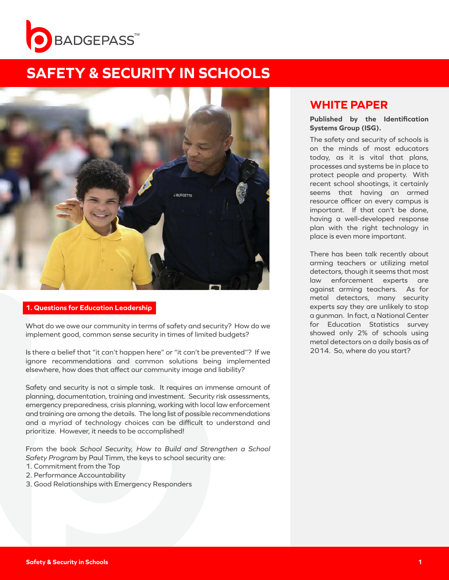



### **1. Questions for Education Leadership**

What do we owe our community in terms of safety and security? How do we implement good, common sense security in times of limited budgets?

Is there a belief that "it can't happen here" or "it can't be prevented"? If we ignore recommendations and common solutions being implemented elsewhere, how does that affect our community image and liability?

Safety and security is not a simple task. It requires an immense amount of planning, documentation, training and investment. Security risk assessments, emergency preparedness, crisis planning, working with local law enforcement and training are among the details. The long list of possible recommendations and a myriad of technology choices can be difficult to understand and prioritize. However, it needs to be accomplished!

From the book *School Security, How to Build and Strengthen a School Safety Program* by Paul Timm, the keys to school security are:

- 1. Commitment from the Top
- 2. Performance Accountability
- 3. Good Relationships with Emergency Responders

# **WHITE PAPER**

**Published by the Identification Systems Group (ISG).** 

The safety and security of schools is on the minds of most educators today, as it is vital that plans, processes and systems be in place to protect people and property. With recent school shootings, it certainly seems that having an armed resource officer on every campus is important. If that can't be done, having a well-developed response plan with the right technology in place is even more important.

There has been talk recently about arming teachers or utilizing metal detectors, though it seems that most law enforcement experts are against arming teachers. As for metal detectors, many security experts say they are unlikely to stop a gunman. In fact, a National Center for Education Statistics survey showed only 2% of schools using metal detectors on a daily basis as of 2014. So, where do you start?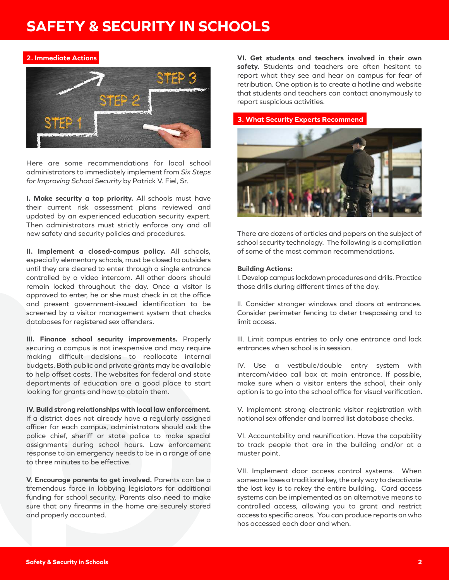### **2. Immediate Actions**



Here are some recommendations for local school administrators to immediately implement from *Six Steps for Improving School Security* by Patrick V. Fiel, Sr.

**I. Make security a top priority.** All schools must have their current risk assessment plans reviewed and updated by an experienced education security expert. Then administrators must strictly enforce any and all new safety and security policies and procedures.

**II. Implement a closed-campus policy.** All schools, especially elementary schools, must be closed to outsiders until they are cleared to enter through a single entrance controlled by a video intercom. All other doors should remain locked throughout the day. Once a visitor is approved to enter, he or she must check in at the office and present government-issued identification to be screened by a visitor management system that checks databases for registered sex offenders.

**III. Finance school security improvements.** Properly securing a campus is not inexpensive and may require making difficult decisions to reallocate internal budgets. Both public and private grants may be available to help offset costs. The websites for federal and state departments of education are a good place to start looking for grants and how to obtain them.

**IV. Build strong relationships with local law enforcement.** If a district does not already have a regularly assigned officer for each campus, administrators should ask the police chief, sheriff or state police to make special assignments during school hours. Law enforcement response to an emergency needs to be in a range of one to three minutes to be effective.

**V. Encourage parents to get involved.** Parents can be a tremendous force in lobbying legislators for additional funding for school security. Parents also need to make sure that any firearms in the home are securely stored and properly accounted.

**VI. Get students and teachers involved in their own safety.** Students and teachers are often hesitant to report what they see and hear on campus for fear of retribution. One option is to create a hotline and website that students and teachers can contact anonymously to report suspicious activities.

### **3. What Security Experts Recommend**



There are dozens of articles and papers on the subject of school security technology. The following is a compilation of some of the most common recommendations.

#### **Building Actions:**

I. Develop campus lockdown procedures and drills. Practice those drills during different times of the day.

II. Consider stronger windows and doors at entrances. Consider perimeter fencing to deter trespassing and to limit access.

III. Limit campus entries to only one entrance and lock entrances when school is in session.

IV. Use a vestibule/double entry system with intercom/video call box at main entrance. If possible, make sure when a visitor enters the school, their only option is to go into the school office for visual verification.

V. Implement strong electronic visitor registration with national sex offender and barred list database checks.

VI. Accountability and reunification. Have the capability to track people that are in the building and/or at a muster point.

VII. Implement door access control systems. When someone loses a traditional key, the only way to deactivate the lost key is to rekey the entire building. Card access systems can be implemented as an alternative means to controlled access, allowing you to grant and restrict access to specific areas. You can produce reports on who has accessed each door and when.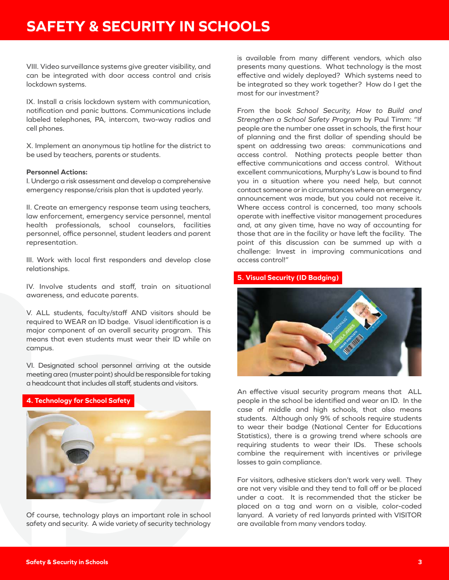VIII. Video surveillance systems give greater visibility, and can be integrated with door access control and crisis lockdown systems.

IX. Install a crisis lockdown system with communication, notification and panic buttons. Communications include labeled telephones, PA, intercom, two-way radios and cell phones.

X. Implement an anonymous tip hotline for the district to be used by teachers, parents or students.

#### **Personnel Actions:**

I. Undergo a risk assessment and develop a comprehensive emergency response/crisis plan that is updated yearly.

II. Create an emergency response team using teachers, law enforcement, emergency service personnel, mental health professionals, school counselors, facilities personnel, office personnel, student leaders and parent representation.

III. Work with local first responders and develop close relationships.

IV. Involve students and staff, train on situational awareness, and educate parents.

V. ALL students, faculty/staff AND visitors should be required to WEAR an ID badge. Visual identification is a major component of an overall security program. This means that even students must wear their ID while on campus.

VI. Designated school personnel arriving at the outside meeting area (muster point) should be responsible for taking a headcount that includes all staff, students and visitors.

### **4. Technology for School Safety**



Of course, technology plays an important role in school safety and security. A wide variety of security technology

is available from many different vendors, which also presents many questions. What technology is the most effective and widely deployed? Which systems need to be integrated so they work together? How do I get the most for our investment?

From the book *School Security, How to Build and Strengthen a School Safety Program* by Paul Timm: "If people are the number one asset in schools, the first hour of planning and the first dollar of spending should be spent on addressing two areas: communications and access control. Nothing protects people better than effective communications and access control. Without excellent communications, Murphy's Law is bound to find you in a situation where you need help, but cannot contact someone or in circumstances where an emergency announcement was made, but you could not receive it. Where access control is concerned, too many schools operate with ineffective visitor management procedures and, at any given time, have no way of accounting for those that are in the facility or have left the facility. The point of this discussion can be summed up with a challenge: Invest in improving communications and access control!"

## **5. Visual Security (ID Badging)**



An effective visual security program means that ALL people in the school be identified and wear an ID. In the case of middle and high schools, that also means students. Although only 9% of schools require students to wear their badge (National Center for Educations Statistics), there is a growing trend where schools are requiring students to wear their IDs. These schools combine the requirement with incentives or privilege losses to gain compliance.

For visitors, adhesive stickers don't work very well. They are not very visible and they tend to fall off or be placed under a coat. It is recommended that the sticker be placed on a tag and worn on a visible, color-coded lanyard. A variety of red lanyards printed with VISITOR are available from many vendors today.